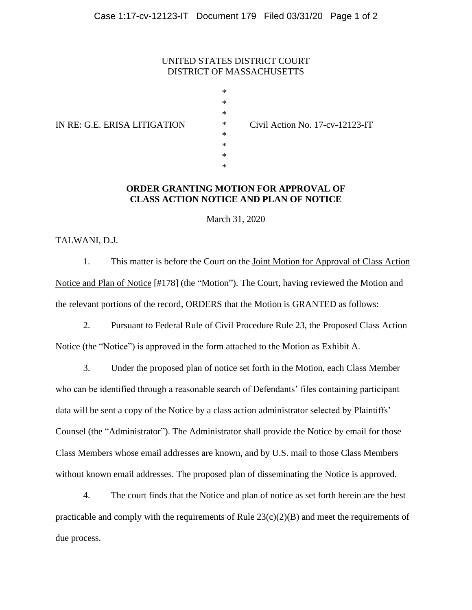#### UNITED STATES DISTRICT COURT DISTRICT OF MASSACHUSETTS

| $\ast$ |                 |
|--------|-----------------|
| $\ast$ |                 |
| $\ast$ |                 |
| $\ast$ | Civil Action No |
| $\ast$ |                 |
| $\ast$ |                 |
| $\ast$ |                 |
| *      |                 |
|        |                 |

IN RE: G.E. ERISA LITIGATION \* Civil Action No. 17-cv-12123-IT

#### **ORDER GRANTING MOTION FOR APPROVAL OF CLASS ACTION NOTICE AND PLAN OF NOTICE**

March 31, 2020

TALWANI, D.J.

1. This matter is before the Court on the Joint Motion for Approval of Class Action Notice and Plan of Notice [#178] (the "Motion"). The Court, having reviewed the Motion and the relevant portions of the record, ORDERS that the Motion is GRANTED as follows:

2. Pursuant to Federal Rule of Civil Procedure Rule 23, the Proposed Class Action Notice (the "Notice") is approved in the form attached to the Motion as Exhibit A.

3. Under the proposed plan of notice set forth in the Motion, each Class Member who can be identified through a reasonable search of Defendants' files containing participant data will be sent a copy of the Notice by a class action administrator selected by Plaintiffs' Counsel (the "Administrator"). The Administrator shall provide the Notice by email for those Class Members whose email addresses are known, and by U.S. mail to those Class Members without known email addresses. The proposed plan of disseminating the Notice is approved.

4. The court finds that the Notice and plan of notice as set forth herein are the best practicable and comply with the requirements of Rule  $23(c)(2)(B)$  and meet the requirements of due process.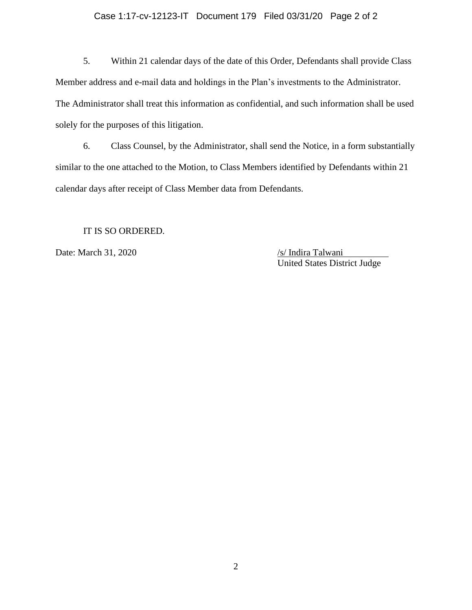#### Case 1:17-cv-12123-IT Document 179 Filed 03/31/20 Page 2 of 2

5. Within 21 calendar days of the date of this Order, Defendants shall provide Class Member address and e-mail data and holdings in the Plan's investments to the Administrator. The Administrator shall treat this information as confidential, and such information shall be used solely for the purposes of this litigation.

6. Class Counsel, by the Administrator, shall send the Notice, in a form substantially similar to the one attached to the Motion, to Class Members identified by Defendants within 21 calendar days after receipt of Class Member data from Defendants.

IT IS SO ORDERED.

Date: March 31, 2020 /s/ Indira Talwani

United States District Judge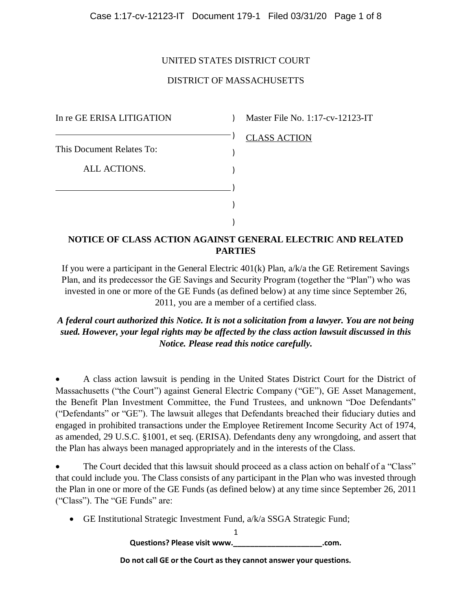#### UNITED STATES DISTRICT COURT

### DISTRICT OF MASSACHUSETTS

In re GE ERISA LITIGATION This Document Relates To: ALL ACTIONS. ) ) ) ) ) )

) Master File No. 1:17-cv-12123-IT

#### CLASS ACTION

### **NOTICE OF CLASS ACTION AGAINST GENERAL ELECTRIC AND RELATED PARTIES**

If you were a participant in the General Electric 401(k) Plan, a/k/a the GE Retirement Savings Plan, and its predecessor the GE Savings and Security Program (together the "Plan") who was invested in one or more of the GE Funds (as defined below) at any time since September 26, 2011, you are a member of a certified class.

*A federal court authorized this Notice. It is not a solicitation from a lawyer. You are not being sued. However, your legal rights may be affected by the class action lawsuit discussed in this Notice. Please read this notice carefully.*

 A class action lawsuit is pending in the United States District Court for the District of Massachusetts ("the Court") against General Electric Company ("GE"), GE Asset Management, the Benefit Plan Investment Committee, the Fund Trustees, and unknown "Doe Defendants" ("Defendants" or "GE"). The lawsuit alleges that Defendants breached their fiduciary duties and engaged in prohibited transactions under the Employee Retirement Income Security Act of 1974, as amended, 29 U.S.C. §1001, et seq. (ERISA). Defendants deny any wrongdoing, and assert that the Plan has always been managed appropriately and in the interests of the Class.

 The Court decided that this lawsuit should proceed as a class action on behalf of a "Class" that could include you. The Class consists of any participant in the Plan who was invested through the Plan in one or more of the GE Funds (as defined below) at any time since September 26, 2011 ("Class"). The "GE Funds" are:

GE Institutional Strategic Investment Fund, a/k/a SSGA Strategic Fund;

1 **Questions? Please visit www.\_\_\_\_\_\_\_\_\_\_\_\_\_\_\_\_\_\_\_\_\_.com.**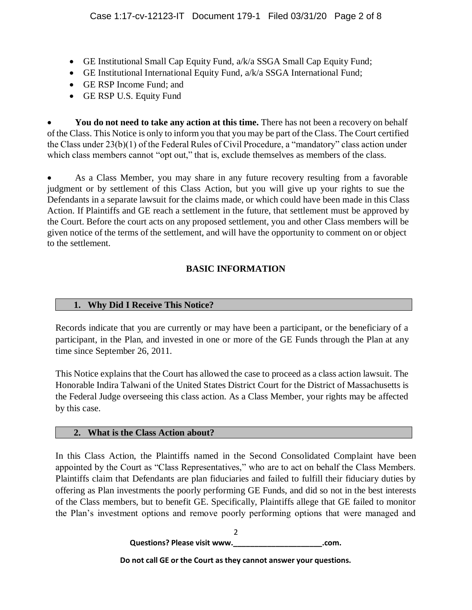- GE Institutional Small Cap Equity Fund, a/k/a SSGA Small Cap Equity Fund;
- GE Institutional International Equity Fund, a/k/a SSGA International Fund;
- GE RSP Income Fund; and
- GE RSP U.S. Equity Fund

You do not need to take any action at this time. There has not been a recovery on behalf of the Class. This Notice is only to inform you that you may be part of the Class. The Court certified the Class under 23(b)(1) of the Federal Rules of Civil Procedure, a "mandatory" class action under which class members cannot "opt out," that is, exclude themselves as members of the class.

 As a Class Member, you may share in any future recovery resulting from a favorable judgment or by settlement of this Class Action, but you will give up your rights to sue the Defendants in a separate lawsuit for the claims made, or which could have been made in this Class Action. If Plaintiffs and GE reach a settlement in the future, that settlement must be approved by the Court. Before the court acts on any proposed settlement, you and other Class members will be given notice of the terms of the settlement, and will have the opportunity to comment on or object to the settlement.

# **BASIC INFORMATION**

# **1. Why Did I Receive This Notice?**

Records indicate that you are currently or may have been a participant, or the beneficiary of a participant, in the Plan, and invested in one or more of the GE Funds through the Plan at any time since September 26, 2011.

This Notice explains that the Court has allowed the case to proceed as a class action lawsuit. The Honorable Indira Talwani of the United States District Court for the District of Massachusetts is the Federal Judge overseeing this class action. As a Class Member, your rights may be affected by this case.

## **2. What is the Class Action about?**

In this Class Action, the Plaintiffs named in the Second Consolidated Complaint have been appointed by the Court as "Class Representatives," who are to act on behalf the Class Members. Plaintiffs claim that Defendants are plan fiduciaries and failed to fulfill their fiduciary duties by offering as Plan investments the poorly performing GE Funds, and did so not in the best interests of the Class members, but to benefit GE. Specifically, Plaintiffs allege that GE failed to monitor the Plan's investment options and remove poorly performing options that were managed and

> $\mathfrak{D}$ **Questions? Please visit www.\_\_\_\_\_\_\_\_\_\_\_\_\_\_\_\_\_\_\_\_\_.com.**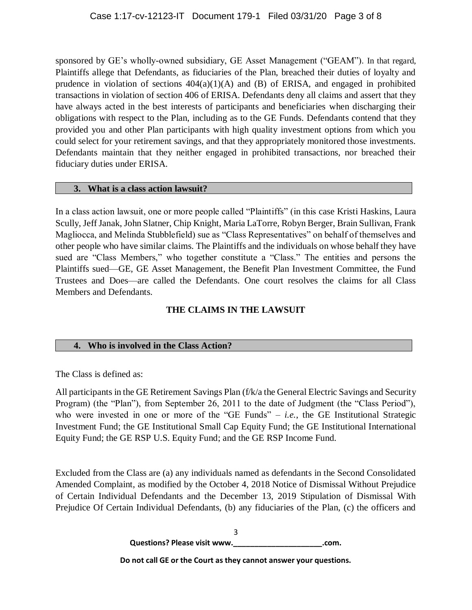sponsored by GE's wholly-owned subsidiary, GE Asset Management ("GEAM"). In that regard, Plaintiffs allege that Defendants, as fiduciaries of the Plan, breached their duties of loyalty and prudence in violation of sections  $404(a)(1)(A)$  and  $(B)$  of ERISA, and engaged in prohibited transactions in violation of section 406 of ERISA. Defendants deny all claims and assert that they have always acted in the best interests of participants and beneficiaries when discharging their obligations with respect to the Plan, including as to the GE Funds. Defendants contend that they provided you and other Plan participants with high quality investment options from which you could select for your retirement savings, and that they appropriately monitored those investments. Defendants maintain that they neither engaged in prohibited transactions, nor breached their fiduciary duties under ERISA.

### **3. What is a class action lawsuit?**

In a class action lawsuit, one or more people called "Plaintiffs" (in this case Kristi Haskins, Laura Scully, Jeff Janak, John Slatner, Chip Knight, Maria LaTorre, Robyn Berger, Brain Sullivan, Frank Magliocca, and Melinda Stubblefield) sue as "Class Representatives" on behalf of themselves and other people who have similar claims. The Plaintiffs and the individuals on whose behalf they have sued are "Class Members," who together constitute a "Class." The entities and persons the Plaintiffs sued—GE, GE Asset Management, the Benefit Plan Investment Committee, the Fund Trustees and Does—are called the Defendants. One court resolves the claims for all Class Members and Defendants.

# **THE CLAIMS IN THE LAWSUIT**

# **4. Who is involved in the Class Action?**

The Class is defined as:

All participants in the GE Retirement Savings Plan (f/k/a the General Electric Savings and Security Program) (the "Plan"), from September 26, 2011 to the date of Judgment (the "Class Period"), who were invested in one or more of the "GE Funds" – *i.e.*, the GE Institutional Strategic Investment Fund; the GE Institutional Small Cap Equity Fund; the GE Institutional International Equity Fund; the GE RSP U.S. Equity Fund; and the GE RSP Income Fund.

Excluded from the Class are (a) any individuals named as defendants in the Second Consolidated Amended Complaint, as modified by the October 4, 2018 Notice of Dismissal Without Prejudice of Certain Individual Defendants and the December 13, 2019 Stipulation of Dismissal With Prejudice Of Certain Individual Defendants, (b) any fiduciaries of the Plan, (c) the officers and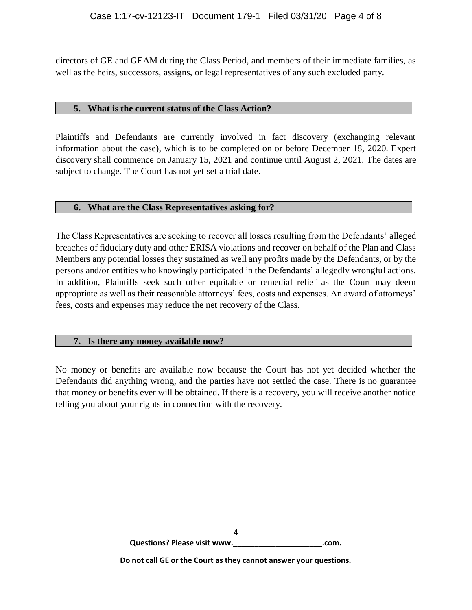directors of GE and GEAM during the Class Period, and members of their immediate families, as well as the heirs, successors, assigns, or legal representatives of any such excluded party.

#### **5. What is the current status of the Class Action?**

Plaintiffs and Defendants are currently involved in fact discovery (exchanging relevant information about the case), which is to be completed on or before December 18, 2020. Expert discovery shall commence on January 15, 2021 and continue until August 2, 2021. The dates are subject to change. The Court has not yet set a trial date.

### **6. What are the Class Representatives asking for?**

The Class Representatives are seeking to recover all losses resulting from the Defendants' alleged breaches of fiduciary duty and other ERISA violations and recover on behalf of the Plan and Class Members any potential losses they sustained as well any profits made by the Defendants, or by the persons and/or entities who knowingly participated in the Defendants' allegedly wrongful actions. In addition, Plaintiffs seek such other equitable or remedial relief as the Court may deem appropriate as well as their reasonable attorneys' fees, costs and expenses. An award of attorneys' fees, costs and expenses may reduce the net recovery of the Class.

## **7. Is there any money available now?**

No money or benefits are available now because the Court has not yet decided whether the Defendants did anything wrong, and the parties have not settled the case. There is no guarantee that money or benefits ever will be obtained. If there is a recovery, you will receive another notice telling you about your rights in connection with the recovery.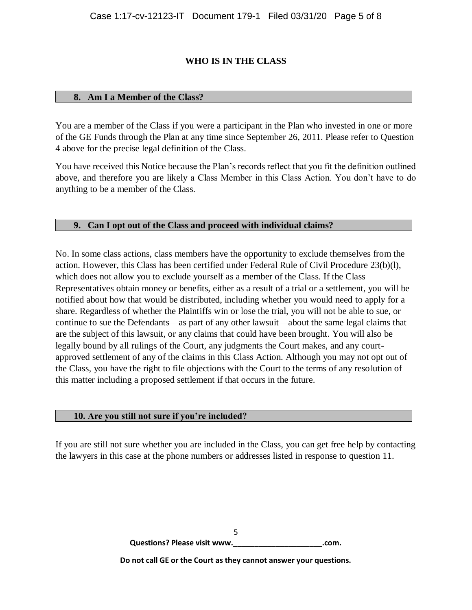# **WHO IS IN THE CLASS**

### **8. Am I a Member of the Class?**

You are a member of the Class if you were a participant in the Plan who invested in one or more of the GE Funds through the Plan at any time since September 26, 2011. Please refer to Question 4 above for the precise legal definition of the Class.

You have received this Notice because the Plan's records reflect that you fit the definition outlined above, and therefore you are likely a Class Member in this Class Action. You don't have to do anything to be a member of the Class.

### **9. Can I opt out of the Class and proceed with individual claims?**

No. In some class actions, class members have the opportunity to exclude themselves from the action. However, this Class has been certified under Federal Rule of Civil Procedure 23(b)(l), which does not allow you to exclude yourself as a member of the Class. If the Class Representatives obtain money or benefits, either as a result of a trial or a settlement, you will be notified about how that would be distributed, including whether you would need to apply for a share. Regardless of whether the Plaintiffs win or lose the trial, you will not be able to sue, or continue to sue the Defendants—as part of any other lawsuit—about the same legal claims that are the subject of this lawsuit, or any claims that could have been brought. You will also be legally bound by all rulings of the Court, any judgments the Court makes, and any courtapproved settlement of any of the claims in this Class Action. Although you may not opt out of the Class, you have the right to file objections with the Court to the terms of any resolution of this matter including a proposed settlement if that occurs in the future.

#### **10. Are you still not sure if you're included?**

If you are still not sure whether you are included in the Class, you can get free help by contacting the lawyers in this case at the phone numbers or addresses listed in response to question 11.

> 5 **Questions? Please visit www.\_\_\_\_\_\_\_\_\_\_\_\_\_\_\_\_\_\_\_\_\_.com.**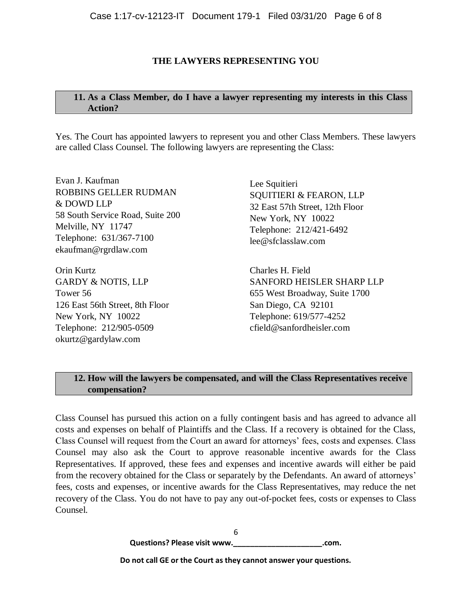## **THE LAWYERS REPRESENTING YOU**

## **11. As a Class Member, do I have a lawyer representing my interests in this Class Action?**

Yes. The Court has appointed lawyers to represent you and other Class Members. These lawyers are called Class Counsel. The following lawyers are representing the Class:

Evan J. Kaufman ROBBINS GELLER RUDMAN & DOWD LLP 58 South Service Road, Suite 200 Melville, NY 11747 Telephone: 631/367-7100 [ekaufman@rgrdlaw.com](mailto:ekaufman@rgrdlaw.com)

Orin Kurtz GARDY & NOTIS, LLP Tower 56 126 East 56th Street, 8th Floor New York, NY 10022 Telephone: 212/905-0509 [okurtz@gardylaw.com](mailto:okurtz@gardylaw.com)

Lee Squitieri SQUITIERI & FEARON, LLP 32 East 57th Street, 12th Floor New York, NY 10022 Telephone: 212/421-6492 [lee@sfclasslaw.com](mailto:lee@sfclasslaw.com)

Charles H. Field SANFORD HEISLER SHARP LLP 655 West Broadway, Suite 1700 San Diego, CA 92101 Telephone: 619/577-4252 [cfield@sanfordheisler.com](mailto:cfield@sanfordheisler.com)

# **12. How will the lawyers be compensated, and will the Class Representatives receive compensation?**

Class Counsel has pursued this action on a fully contingent basis and has agreed to advance all costs and expenses on behalf of Plaintiffs and the Class. If a recovery is obtained for the Class, Class Counsel will request from the Court an award for attorneys' fees, costs and expenses. Class Counsel may also ask the Court to approve reasonable incentive awards for the Class Representatives. If approved, these fees and expenses and incentive awards will either be paid from the recovery obtained for the Class or separately by the Defendants. An award of attorneys' fees, costs and expenses, or incentive awards for the Class Representatives, may reduce the net recovery of the Class. You do not have to pay any out-of-pocket fees, costs or expenses to Class Counsel.